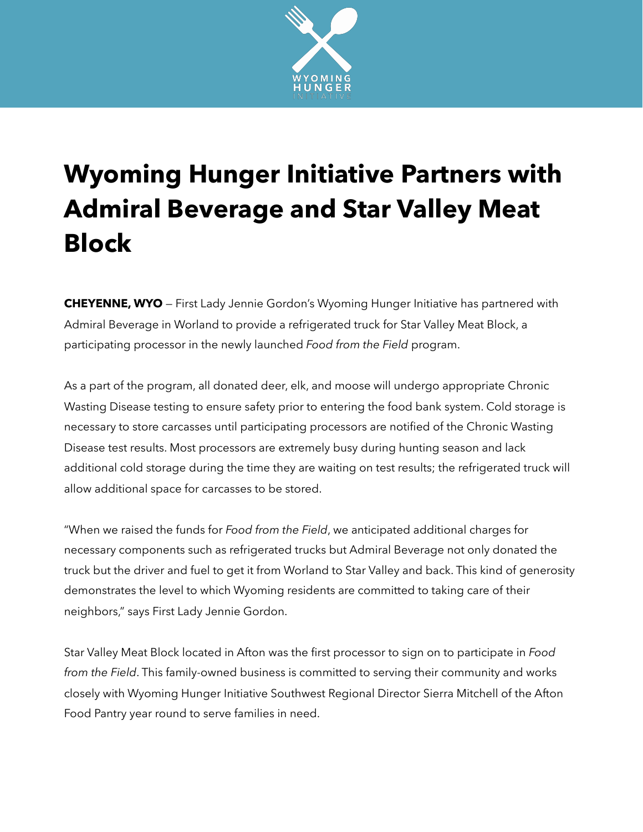

## **Wyoming Hunger Initiative Partners with Admiral Beverage and Star Valley Meat Block**

**CHEYENNE, WYO** — First Lady Jennie Gordon's Wyoming Hunger Initiative has partnered with Admiral Beverage in Worland to provide a refrigerated truck for Star Valley Meat Block, a participating processor in the newly launched *Food from the Field* program.

As a part of the program, all donated deer, elk, and moose will undergo appropriate Chronic Wasting Disease testing to ensure safety prior to entering the food bank system. Cold storage is necessary to store carcasses until participating processors are notified of the Chronic Wasting Disease test results. Most processors are extremely busy during hunting season and lack additional cold storage during the time they are waiting on test results; the refrigerated truck will allow additional space for carcasses to be stored.

"When we raised the funds for *Food from the Field*, we anticipated additional charges for necessary components such as refrigerated trucks but Admiral Beverage not only donated the truck but the driver and fuel to get it from Worland to Star Valley and back. This kind of generosity demonstrates the level to which Wyoming residents are committed to taking care of their neighbors," says First Lady Jennie Gordon.

Star Valley Meat Block located in Afton was the first processor to sign on to participate in *Food from the Field*. This family-owned business is committed to serving their community and works closely with Wyoming Hunger Initiative Southwest Regional Director Sierra Mitchell of the Afton Food Pantry year round to serve families in need.